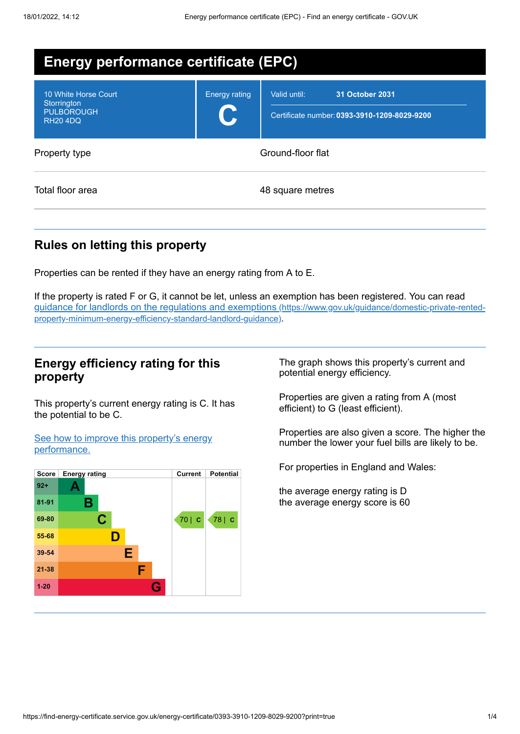| <b>Energy performance certificate (EPC)</b>                                 |                      |                                                                                 |
|-----------------------------------------------------------------------------|----------------------|---------------------------------------------------------------------------------|
| 10 White Horse Court<br>Storrington<br><b>PULBOROUGH</b><br><b>RH20 4DQ</b> | <b>Energy rating</b> | Valid until:<br>31 October 2031<br>Certificate number: 0393-3910-1209-8029-9200 |
| Property type                                                               | Ground-floor flat    |                                                                                 |
| Total floor area                                                            |                      | 48 square metres                                                                |

# **Rules on letting this property**

Properties can be rented if they have an energy rating from A to E.

If the property is rated F or G, it cannot be let, unless an exemption has been registered. You can read guidance for landlords on the regulations and exemptions (https://www.gov.uk/guidance/domestic-private-rented[property-minimum-energy-efficiency-standard-landlord-guidance\)](https://www.gov.uk/guidance/domestic-private-rented-property-minimum-energy-efficiency-standard-landlord-guidance).

## **Energy efficiency rating for this property**

This property's current energy rating is C. It has the potential to be C.

See how to improve this property's energy [performance.](#page-2-0)



The graph shows this property's current and potential energy efficiency.

Properties are given a rating from A (most efficient) to G (least efficient).

Properties are also given a score. The higher the number the lower your fuel bills are likely to be.

For properties in England and Wales:

the average energy rating is D the average energy score is 60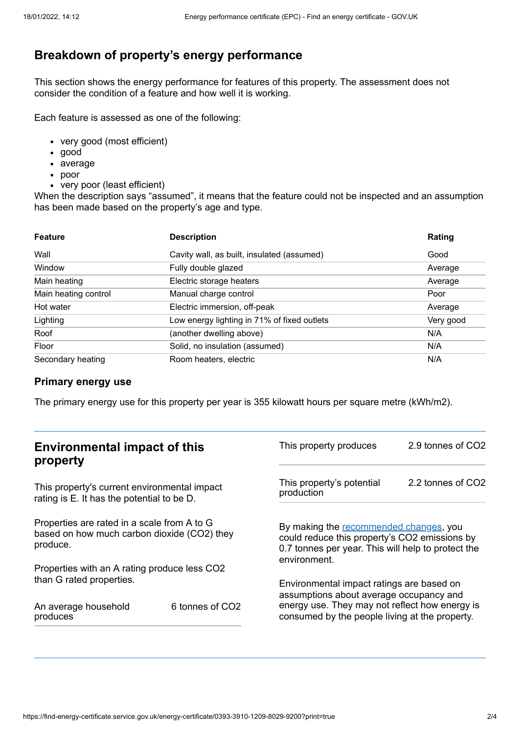# **Breakdown of property's energy performance**

This section shows the energy performance for features of this property. The assessment does not consider the condition of a feature and how well it is working.

Each feature is assessed as one of the following:

- very good (most efficient)
- good
- average
- poor
- very poor (least efficient)

When the description says "assumed", it means that the feature could not be inspected and an assumption has been made based on the property's age and type.

| <b>Feature</b>       | <b>Description</b>                          | Rating    |
|----------------------|---------------------------------------------|-----------|
| Wall                 | Cavity wall, as built, insulated (assumed)  | Good      |
| Window               | Fully double glazed                         | Average   |
| Main heating         | Electric storage heaters                    | Average   |
| Main heating control | Manual charge control                       | Poor      |
| Hot water            | Electric immersion, off-peak                | Average   |
| Lighting             | Low energy lighting in 71% of fixed outlets | Very good |
| Roof                 | (another dwelling above)                    | N/A       |
| Floor                | Solid, no insulation (assumed)              | N/A       |
| Secondary heating    | Room heaters, electric                      | N/A       |

#### **Primary energy use**

The primary energy use for this property per year is 355 kilowatt hours per square metre (kWh/m2).

| <b>Environmental impact of this</b><br>property                                                        |                 | This property produces                                                                                                                                        | 2.9 tonnes of CO2 |
|--------------------------------------------------------------------------------------------------------|-----------------|---------------------------------------------------------------------------------------------------------------------------------------------------------------|-------------------|
| This property's current environmental impact<br>rating is E. It has the potential to be D.             |                 | This property's potential<br>production                                                                                                                       | 2.2 tonnes of CO2 |
| Properties are rated in a scale from A to G<br>based on how much carbon dioxide (CO2) they<br>produce. |                 | By making the recommended changes, you<br>could reduce this property's CO2 emissions by<br>0.7 tonnes per year. This will help to protect the<br>environment. |                   |
| Properties with an A rating produce less CO2                                                           |                 |                                                                                                                                                               |                   |
| than G rated properties.                                                                               |                 | Environmental impact ratings are based on<br>assumptions about average occupancy and                                                                          |                   |
| An average household<br>produces                                                                       | 6 tonnes of CO2 | energy use. They may not reflect how energy is<br>consumed by the people living at the property.                                                              |                   |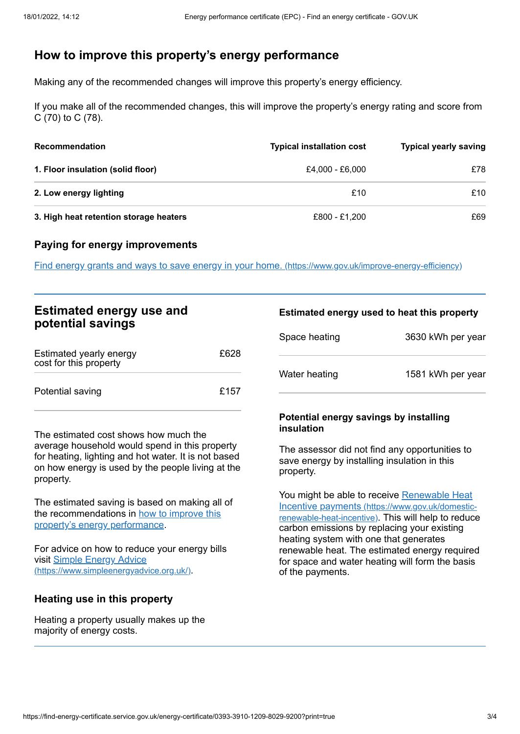# <span id="page-2-0"></span>**How to improve this property's energy performance**

Making any of the recommended changes will improve this property's energy efficiency.

If you make all of the recommended changes, this will improve the property's energy rating and score from C (70) to C (78).

| <b>Recommendation</b>                  | <b>Typical installation cost</b> | <b>Typical yearly saving</b> |
|----------------------------------------|----------------------------------|------------------------------|
| 1. Floor insulation (solid floor)      | £4,000 - £6,000                  | £78                          |
| 2. Low energy lighting                 | £10                              | £10                          |
| 3. High heat retention storage heaters | £800 - £1,200                    | £69                          |

### **Paying for energy improvements**

Find energy grants and ways to save energy in your home. [\(https://www.gov.uk/improve-energy-efficiency\)](https://www.gov.uk/improve-energy-efficiency)

| <b>Estimated energy use and</b> |  |
|---------------------------------|--|
| potential savings               |  |

| Estimated yearly energy<br>cost for this property | £628 |
|---------------------------------------------------|------|
| Potential saving                                  | £157 |

The estimated cost shows how much the average household would spend in this property for heating, lighting and hot water. It is not based on how energy is used by the people living at the property.

The estimated saving is based on making all of the [recommendations](#page-2-0) in how to improve this property's energy performance.

For advice on how to reduce your energy bills visit Simple Energy Advice [\(https://www.simpleenergyadvice.org.uk/\)](https://www.simpleenergyadvice.org.uk/).

## **Heating use in this property**

Heating a property usually makes up the majority of energy costs.

#### **Estimated energy used to heat this property**

| Space heating | 3630 kWh per year |
|---------------|-------------------|
| Water heating | 1581 kWh per year |

#### **Potential energy savings by installing insulation**

The assessor did not find any opportunities to save energy by installing insulation in this property.

You might be able to receive Renewable Heat Incentive payments [\(https://www.gov.uk/domestic](https://www.gov.uk/domestic-renewable-heat-incentive)renewable-heat-incentive). This will help to reduce carbon emissions by replacing your existing heating system with one that generates renewable heat. The estimated energy required for space and water heating will form the basis of the payments.